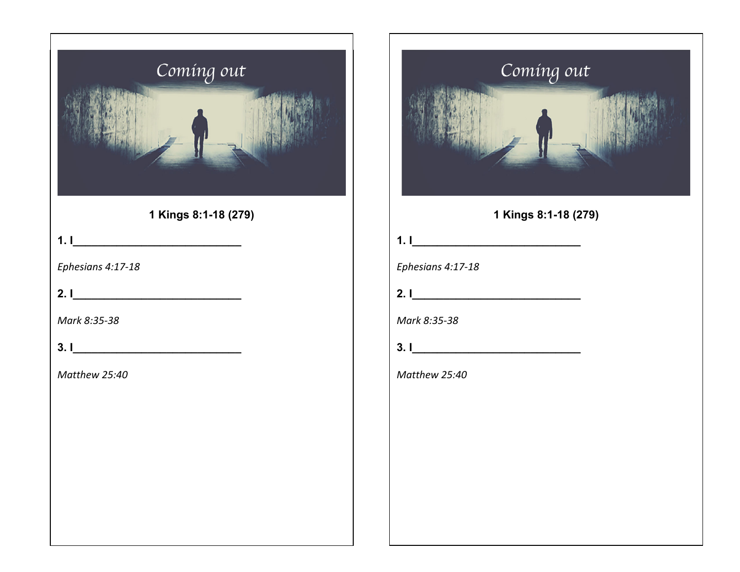| Coming out                     |
|--------------------------------|
| 1 Kings 8:1-18 (279)           |
| 1.1                            |
| Ephesians 4:17-18              |
| 2.1                            |
| Mark 8:35-38                   |
| $3.1$ $\overline{\phantom{a}}$ |
| Matthew 25:40                  |
|                                |
|                                |
|                                |
|                                |
|                                |
|                                |



| Mark 8:35-38 |  |
|--------------|--|
|--------------|--|

| ◠<br>J. I |  |  |  |  |  |
|-----------|--|--|--|--|--|
|           |  |  |  |  |  |

**2. I\_\_\_\_\_\_\_\_\_\_\_\_\_\_\_\_\_\_\_\_\_\_\_\_\_\_\_** 

*Matthew 25:40*